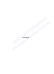Ribulsong Krammer Rejablick alminersity

 $\mathcal{L}_{\mathcal{A}}$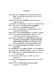## บรรณานุกรม

- ึกชพร จันทร์เชื้อ. (2546). การพัฒนาทีมงานบริการ โรงพยาบาลกงไกรลาศ จังหวัด สุโขทัย. วิทยานิพนช์ปริญญามหาบัณฑิต สาขาวิชาการบริหารการพยาบาล มหาวิทยาลัยนเรศวร.
- การสื่อสารแห่งประเทศไทย. (2544). ไปรษณีย์นิเทศ พ.ศ. 2544. กรุงเทพมหานคร : การสื่อสารแห่งประเทศไทย..

ึกุลยา ดันดิผลาชีวะ. (2522). ที่มการพยาบาล. กรุงเทพมหานคร : วิทยาลัยพยาบาลกรุงเทพ. ขัดดิยา กรรณสูตร. (2528). การทำงานเป็นทีมและจริยธรรมของผู้ปฏิบัติงาน.

กรุงเทพมหานคร : สถาบันบัณฑิตพัฒนาบริหารศาสตร์.

ฉันทนา จันทร์บรรจง. (2542). **จิตวิทยาบริการ.** ภาควิชาบริหารและพัฒนาการ ศึกษา คณะศึกษาศาสตร์ มหาวิทยาลัยนเรศวร.

ชาญชัย อาจินสมาจาร. (2536). **เทคนิคการพัฒนาที่มงาน.** กรุงเทพมหานคร : ศูนย์ส่งเสริม. ิณรงค์ ช่องาม. (2539). **อุปสรรคของการทำงานเป็นทีม.** กรุงเทพมหานคร : เอกสาร ประกอบการฝึกอบรม กองการเจ้าหน้าที่จุฬาลงกรณ์มหาวิทยาลัย.

ณัฐนันท์ ดนูพิทักษ์. (2543). ลักษณะการทำงานเป็นทีมที่มีประสิทธิภาพในโรงเรียน

มัธยมศึกษาตามแนวคิดเห็นของผู้บริหารและครูในโรงเรียนมัธยมศึกษา สังกัดกรมสามัญศึกษา เขตการศึกษา 6. วิทยานิพนธ์ปริญญามหาบัณฑิต สาขาวิชาการบริหารการศึกษา มหาวิทยาลัยศรีนครินทรวิโรฒประสานมิตร.

้เดือนใจ แววงาม. (2535). พลวัตของกลุ่มและการทำงานเป็นทีม. กรุงเทพมหานคร : เม็ดทรายพริ้นติ้ง

ที่ทำการไปรษณีย์พิษณุโลก. (2548). คำสั่งที่ทำการที่ 6/2548 . ที่ทำการไปรษณีย์พิษณุโลก. ์ บุญชม ศรีสะอาด. (2535). การวิจัยเบื้องต้น. พิมพ์ครั้งที่ 2. กรุงเทพมหานคร : สุวีริยาสาส์น. บริษัท ไปรษณีย์ไทยจำกัด. (2548). แผนธุรกิจไปรษณีย์ 2548-2552. กรุงเทพมหานคร : ้ส่วนวางแผนธุรกิจไปรษณีย์.

ึ ธงชัย สันติวงษ์. (2525). การบริหารงานบุคคล. พิมพ์ครั้งที่ 2. กรุงเทพมหานคร : ไทยวัฒนาพานิช.

ึธงชัย สันดิวงษ์. (2541). <mark>ทฤษฏีองค์การและการออกแบบ.</mark> กรุงเทพมหานคร : ไทยวัฒนา พานิช.

ณรงค์วิทย์ แสนทอง. (2544). คู่มือการพัฒนาระบบบริหารผลงานยุคใหม่. กรุงเทพมหานคร : เอช อาร์ เซ็นเตอร์.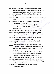มิ่งขวัญ สันทัดการ. (2546). การทำงานเป็นทีมในโรงเรียนประถมศึกษาสังกัดการ ี ประถมศึกษาจังหวัดพิษณุโลก ตามทรรศนะของผู้บริหารและครู. วิทยานิพนธ์ ปริญญามหาบัณฑิต สาขาวิชาการบริหารการศึกษา มหาวิทยาลัยนเรศวร. ยงยุทธ เกษสาคร. (2546). บทบาทผู้นำกับความสำเร็จขององค์การ. กรุงเทพมหานคร :

พิมพ์อักษร.

โยธิน ศันสนยุทธ. (2530). มนุษยสัมพันธ์. พิมพ์ครั้งที่ 2. กรุงเทพมหานคร : ศูนย์ส่งเสริม วิชาการ

เรียม ศรีทอง. (2542). พฤติกรรมมนุษย์กับการพัฒนาตน การทำงานเป็นทีม. ึกรุงเทพมหานคร : เอิร์ดไวท์เอ็ดดูเคชั่น.

์วิไล อำมาตย์มณี. (2539). กา**รพัฒนาการพยาบาลเป็นทีมในหอผู้ป่วยในพยาบ**าล เชียงรายประชานุเคราะห์. วิทยานิพนธ์ปริญญาพยาบาลมหาบัณฑิต มหาวิทยาลัยเชียงใหม่.

วีรวัฒน์ พงษ์พยอม. (2534). การทำงานเป็นทีม. กรุงเทพมหานคร : ซี เอ็ด ยู เค ชั่น.

ศิริพร ขัมภลิขิตและคณะ. (2544). การพัฒนารูปแบบทีมการพยาบาลโรงพยาบาล ธรรมศาสตร์เฉลิมพระเกียรติ. กรุงเทพมหานคร : โครงการวิจัยจากสถาบันไทย ุคดีศึกษา มหาวิทยาธรรมศาสตร์ กรุงเทพมหานคร.

ศุภางค์ จันทวานิช. (2543). การวิเคราะห์ข้อมูลในการวิจัยเชิงคุณภาพ. พิมพ์ครั้งที่ 3. กรุงเทพมหานคร : โรงพิมพ์จุฬาลงกรณ์มหาวิทยาลัย.

ี่สงวน ช้างฉัตร. (2538). กา**รพัฒนาองค์การ.** พิมพ์ครั้งที่ 2. พิษณุโลก : เป็นหนึ่ง ึกอปปี้เซนเตอร์.

. (2539). พฤติกรรมองค์การ. พิษณุโลก : สถาบันราชภัฏพิบูลสงคราม.

<sub>-</sub> . (2542). รายงานการวิจัยการพัฒนาทีมงานที่ส่งผลต่อประสิทธิผลในการ ดำเนินธุรกิจขนาดย่อม. พิษณุโลก : คณะวิทยาการจัดการ สถาบันราชภัฏ พิบูลสงคราม.

สิทธิพร จันโทภาส. (2535). การศึกษาการปฏิบัติตามปรัชญาและวัตถุประสงค์ของฝ่าย การ พยาบาลแผนกการพยาบาลและหอผู้ป่วยในโรงพยาบาลของรัฐ.

ีวิทยานิพนธ์ปริญญาพยาบาลมหาบัณฑิต จุฬาลงกรณ์มหาวิทยาลัย. ี่สิทธิโชค วราสันติกุล. (2533). การพัฒนาทีมงาน. กรุงเทพมหานคร : อักษรการพิมพ์.

สุนทร จตุรพิธพร. (2543). การศึกษาสภาพการทำงานเป็นทีมของธนาคารกรุงศรีอยุธยา

จำกัด (มหาชน) ตามแนวคิดของวู๊ดคอกค์และฟรานชิส. วิทยานิพนธ์ปริญญา ้มหาบัณฑิต มหาวิทยาลัยรามคำแหง.

สมยศ นาวีการ. (2533). การพัฒนาองค์กรการบริหารเพื่อความเป็นเลิศ. กรุงเทพมหานคร : บรรณกิจการพิมพ์.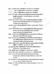สุนันทา เลาหนันท์. (2540). การสร้างทีมงาน. กรุงเทพมหานคร : ดี ดี บุ๊คสโตร์.

<u>\_\_\_\_\_\_\_\_\_\_\_\_</u> . (2541). <mark>การพัฒนาองค์การ.</mark> กรุงเทพมหานคร : ดี ดี บุ๊คสโตร์.

\_\_\_\_\_\_\_ (2544). <mark>การพัฒนาทีมงาน.</mark> กรุงเทพมหานคร : ดี ดี บุ๊คสโตร์.

- สุภาพร ดวงดี. (2536). การศึกษาความตระหนักในตนเองของพยาบาลและพฤติกรรม ดูแลผู้ป่วยระยะสุดท้าย. วิทยานิพนธ์ปริญญาพยาบาลมหาบัณฑิต มหาวิทยาลัยเชียงใหม่.
- อมรรักษ์ จินนาวงค์.(2543). ผลของการพยาบาลเป็นทีมต่อประสิทธิผลของหอผู้ป่วย โรงพยาบาลธรรมศาสตร์เฉลิมพระเกียรติ. วิทยานิพนธ์ปริญญาพยาบาล มหาบัณฑิต จุฬาลงกรณ์มหาวิทยาลัย.

อรุณ รักธรรม. (2527). **หลักมนุษยสัมพันธ์กับการบริหาร.** กรุงเทพมหานคร : ไทยวัฒนา พานิช.

- อาภาภรณ์ เชื้อประไพศิลป์. (2536). การวิจัยเชิงปฏิบัติการในการพัฒนาคุณภาพการะ พยาบาล. จดหมายข่าวสมาคมวิจัยเชิงคุณภาพระหว่างประเทศไทย คณะพยาบาลศาสตร์ มหาวิทยาลัยสงขลานครินทร์.
- อัญชฌา เวสารัชช์. (2533). **สื่อสัมพันธ์สร้างสรรค์งาน.เอกสารประกอบการฝึกอบรม** พัฒนาบุคลากรหอการค้าไทย สิงหาคม 2533.
- อัญชลี เทียรทชาติ. (2541). ปัจจัยที่มีผลต่อความพึงพอใจในงานและทัศนคติต่อการ ทำงานเป็นทีมของพนักงานในโรงงานอุตสาหกรรม. วิทยานิพนธ์ปริญญา วิทยาศาสตรมหาบัณฑิต มหาวิทยาลัยเกษตรศาสตร์.
- อนุวัฒน์ ศุภชุติกุล และคณะ. (2544). เส้นทางสู่โรงพยาบาลคุณภาพ คู่มือการเรียนรู้เชิง ปฏิบัติการ. พิมพ์ครั้งที่ 2. กรุงเทพมหานคร : ดีไซร์.
- อุทัย บุญประเสริฐ. (2535). กลุ่มสัมพันธ์และการบริหารทีมงานที่มีประสิทธิภาพ. กรุงเทพมหานคร : จุฬาลงกรณ์มหาวิทยาลัย.
- เอกชัย กี่สุขพันธ์. (2538). การสร้างทีมงาน. กรุงเทพมหานคร : วีเจพริ้นติ้ง.

ูเฮลเลอร์, โรเบิร์ต. (2546). **บริหารทีมงาน.** กรุงเทพมหานคร : นามมีบุัคส์พับลิเคชั่นส์.

Anhalt Lynn, R. (1995). Exploring the Relationship Between Personality

**Characteristics and Effective Teamwork Behaviors. Colorado State** University.

- Carr, W.&Kemmis, S. (1986). Becoming Critcal: Knowing through Action research. 2 nd. ed. Victioria : Deaking University Press.
- Douglass. L.M. (1980). The effective nurse : Leader and manager. St. Louis : The. C.V. Mosby.